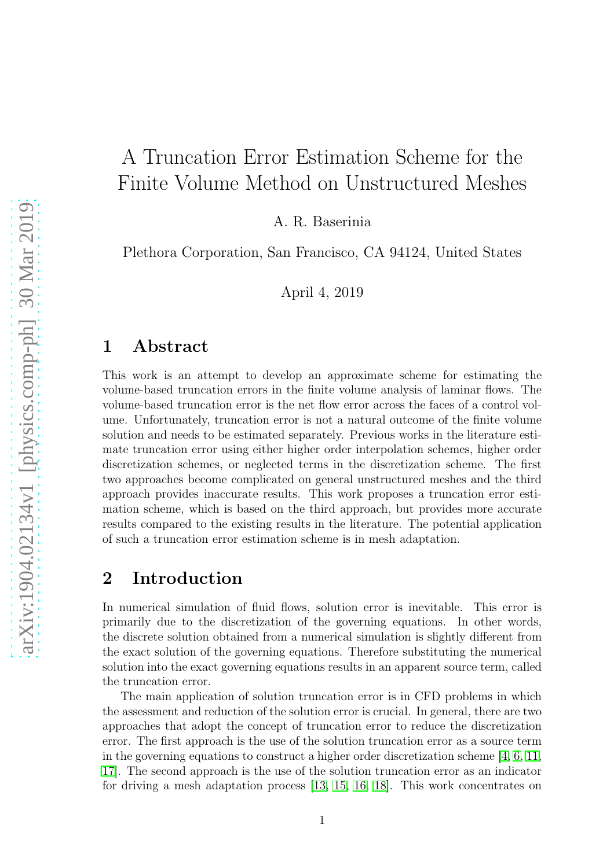# A Truncation Error Estimation Scheme for the Finite Volume Method on Unstructured Meshes

A. R. Baserinia

Plethora Corporation, San Francisco, CA 94124, United States

April 4, 2019

#### 1 Abstract

This work is an attempt to develop an approximate scheme for estimating the volume-based truncation errors in the finite volume analysis of laminar flows. The volume-based truncation error is the net flow error across the faces of a control volume. Unfortunately, truncation error is not a natural outcome of the finite volume solution and needs to be estimated separately. Previous works in the literature estimate truncation error using either higher order interpolation schemes, higher order discretization schemes, or neglected terms in the discretization scheme. The first two approaches become complicated on general unstructured meshes and the third approach provides inaccurate results. This work proposes a truncation error estimation scheme, which is based on the third approach, but provides more accurate results compared to the existing results in the literature. The potential application of such a truncation error estimation scheme is in mesh adaptation.

#### 2 Introduction

In numerical simulation of fluid flows, solution error is inevitable. This error is primarily due to the discretization of the governing equations. In other words, the discrete solution obtained from a numerical simulation is slightly different from the exact solution of the governing equations. Therefore substituting the numerical solution into the exact governing equations results in an apparent source term, called the truncation error.

The main application of solution truncation error is in CFD problems in which the assessment and reduction of the solution error is crucial. In general, there are two approaches that adopt the concept of truncation error to reduce the discretization error. The first approach is the use of the solution truncation error as a source term in the governing equations to construct a higher order discretization scheme [\[4,](#page-11-0) [6,](#page-13-0) [11,](#page-13-1) [17\]](#page-13-2). The second approach is the use of the solution truncation error as an indicator for driving a mesh adaptation process [\[13,](#page-13-3) [15,](#page-13-4) [16,](#page-13-5) [18\]](#page-13-6). This work concentrates on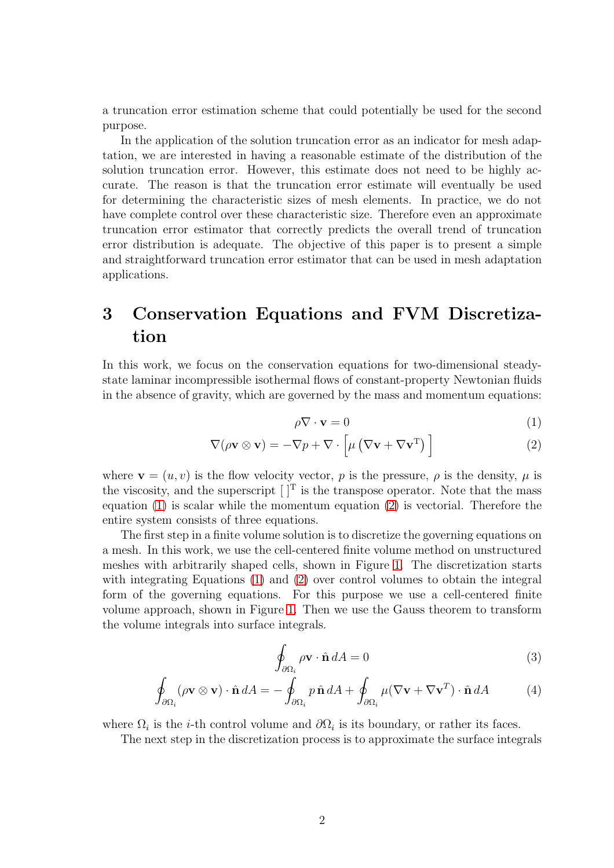a truncation error estimation scheme that could potentially be used for the second purpose.

In the application of the solution truncation error as an indicator for mesh adaptation, we are interested in having a reasonable estimate of the distribution of the solution truncation error. However, this estimate does not need to be highly accurate. The reason is that the truncation error estimate will eventually be used for determining the characteristic sizes of mesh elements. In practice, we do not have complete control over these characteristic size. Therefore even an approximate truncation error estimator that correctly predicts the overall trend of truncation error distribution is adequate. The objective of this paper is to present a simple and straightforward truncation error estimator that can be used in mesh adaptation applications.

## 3 Conservation Equations and FVM Discretization

In this work, we focus on the conservation equations for two-dimensional steadystate laminar incompressible isothermal flows of constant-property Newtonian fluids in the absence of gravity, which are governed by the mass and momentum equations:

<span id="page-1-1"></span><span id="page-1-0"></span>
$$
\rho \nabla \cdot \mathbf{v} = 0 \tag{1}
$$

$$
\nabla(\rho \mathbf{v} \otimes \mathbf{v}) = -\nabla p + \nabla \cdot \left[ \mu \left( \nabla \mathbf{v} + \nabla \mathbf{v}^{\mathrm{T}} \right) \right]
$$
 (2)

where  $\mathbf{v} = (u, v)$  is the flow velocity vector, p is the pressure,  $\rho$  is the density,  $\mu$  is the viscosity, and the superscript  $[T]$  is the transpose operator. Note that the mass equation [\(1\)](#page-1-0) is scalar while the momentum equation [\(2\)](#page-1-1) is vectorial. Therefore the entire system consists of three equations.

The first step in a finite volume solution is to discretize the governing equations on a mesh. In this work, we use the cell-centered finite volume method on unstructured meshes with arbitrarily shaped cells, shown in Figure [1.](#page-2-0) The discretization starts with integrating Equations [\(1\)](#page-1-0) and [\(2\)](#page-1-1) over control volumes to obtain the integral form of the governing equations. For this purpose we use a cell-centered finite volume approach, shown in Figure [1.](#page-2-0) Then we use the Gauss theorem to transform the volume integrals into surface integrals.

<span id="page-1-3"></span><span id="page-1-2"></span>
$$
\oint_{\partial \Omega_i} \rho \mathbf{v} \cdot \hat{\mathbf{n}} \, dA = 0 \tag{3}
$$

$$
\oint_{\partial\Omega_i} (\rho \mathbf{v} \otimes \mathbf{v}) \cdot \hat{\mathbf{n}} dA = -\oint_{\partial\Omega_i} p \hat{\mathbf{n}} dA + \oint_{\partial\Omega_i} \mu (\nabla \mathbf{v} + \nabla \mathbf{v}^T) \cdot \hat{\mathbf{n}} dA \tag{4}
$$

where  $\Omega_i$  is the *i*-th control volume and  $\partial\Omega_i$  is its boundary, or rather its faces.

The next step in the discretization process is to approximate the surface integrals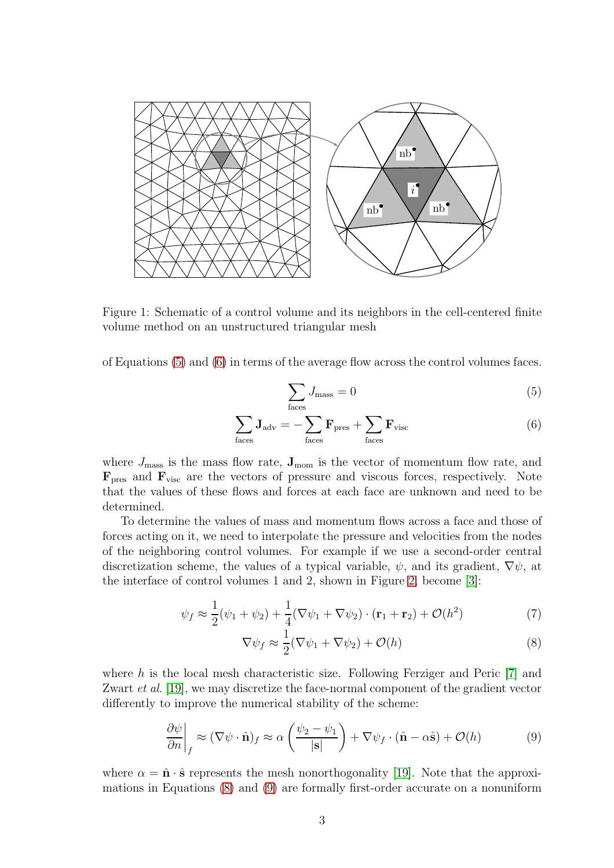

<span id="page-2-0"></span>Figure 1: Schematic of a control volume and its neighbors in the cell-centered finite volume method on an unstructured triangular mesh

of Equations [\(5\)](#page-2-1) and [\(6\)](#page-2-2) in terms of the average flow across the control volumes faces.

<span id="page-2-2"></span><span id="page-2-1"></span>
$$
\sum_{\text{faces}} J_{\text{mass}} = 0 \tag{5}
$$

$$
\sum_{\text{faces}} \mathbf{J}_{\text{adv}} = -\sum_{\text{faces}} \mathbf{F}_{\text{pres}} + \sum_{\text{faces}} \mathbf{F}_{\text{visc}} \tag{6}
$$

where  $J_{\text{mass}}$  is the mass flow rate,  $J_{\text{mom}}$  is the vector of momentum flow rate, and  $\mathbf{F}_{\text{pres}}$  and  $\mathbf{F}_{\text{visc}}$  are the vectors of pressure and viscous forces, respectively. Note that the values of these flows and forces at each face are unknown and need to be determined.

To determine the values of mass and momentum flows across a face and those of forces acting on it, we need to interpolate the pressure and velocities from the nodes of the neighboring control volumes. For example if we use a second-order central discretization scheme, the values of a typical variable,  $\psi$ , and its gradient,  $\nabla \psi$ , at the interface of control volumes 1 and 2, shown in Figure [2,](#page-3-0) become [\[3\]](#page-11-1):

$$
\psi_f \approx \frac{1}{2}(\psi_1 + \psi_2) + \frac{1}{4}(\nabla\psi_1 + \nabla\psi_2) \cdot (\mathbf{r}_1 + \mathbf{r}_2) + \mathcal{O}(h^2)
$$
\n<sup>(7)</sup>

<span id="page-2-5"></span><span id="page-2-3"></span>
$$
\nabla \psi_f \approx \frac{1}{2} (\nabla \psi_1 + \nabla \psi_2) + \mathcal{O}(h)
$$
\n(8)

where h is the local mesh characteristic size. Following Ferziger and Peric [\[7\]](#page-13-7) and Zwart *et al.* [\[19\]](#page-13-8), we may discretize the face-normal component of the gradient vector differently to improve the numerical stability of the scheme:

<span id="page-2-4"></span>
$$
\left. \frac{\partial \psi}{\partial n} \right|_f \approx (\nabla \psi \cdot \hat{\mathbf{n}})_f \approx \alpha \left( \frac{\psi_2 - \psi_1}{|\mathbf{s}|} \right) + \nabla \psi_f \cdot (\hat{\mathbf{n}} - \alpha \hat{\mathbf{s}}) + \mathcal{O}(h) \tag{9}
$$

where  $\alpha = \hat{\mathbf{n}} \cdot \hat{\mathbf{s}}$  represents the mesh nonorthogonality [\[19\]](#page-13-8). Note that the approximations in Equations [\(8\)](#page-2-3) and [\(9\)](#page-2-4) are formally first-order accurate on a nonuniform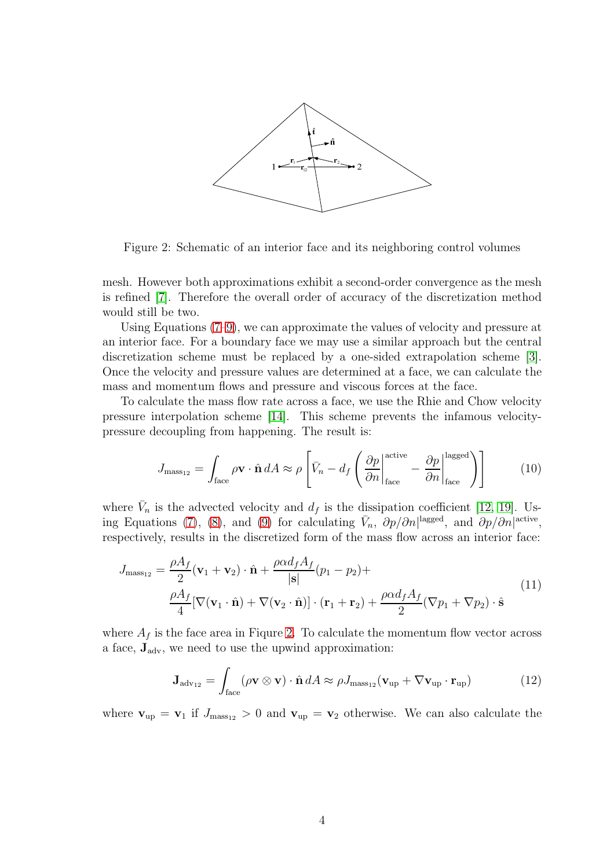

<span id="page-3-0"></span>Figure 2: Schematic of an interior face and its neighboring control volumes

mesh. However both approximations exhibit a second-order convergence as the mesh is refined [\[7\]](#page-13-7). Therefore the overall order of accuracy of the discretization method would still be two.

Using Equations [\(7](#page-2-5)[–9\)](#page-2-4), we can approximate the values of velocity and pressure at an interior face. For a boundary face we may use a similar approach but the central discretization scheme must be replaced by a one-sided extrapolation scheme [\[3\]](#page-11-1). Once the velocity and pressure values are determined at a face, we can calculate the mass and momentum flows and pressure and viscous forces at the face.

To calculate the mass flow rate across a face, we use the Rhie and Chow velocity pressure interpolation scheme [\[14\]](#page-13-9). This scheme prevents the infamous velocitypressure decoupling from happening. The result is:

<span id="page-3-2"></span>
$$
J_{\text{mass}_{12}} = \int_{\text{face}} \rho \mathbf{v} \cdot \hat{\mathbf{n}} \, dA \approx \rho \left[ \bar{V}_n - d_f \left( \frac{\partial p}{\partial n} \Big|_{\text{face}}^{\text{active}} - \frac{\partial p}{\partial n} \Big|_{\text{face}}^{\text{lagged}} \right) \right] \tag{10}
$$

where  $\bar{V}_n$  is the advected velocity and  $d_f$  is the dissipation coefficient [\[12,](#page-13-10) [19\]](#page-13-8). Us-ing Equations [\(7\)](#page-2-5), [\(8\)](#page-2-3), and [\(9\)](#page-2-4) for calculating  $\bar{V}_n$ ,  $\partial p/\partial n|^{\text{lagged}}$ , and  $\partial p/\partial n|^{\text{active}}$ , respectively, results in the discretized form of the mass flow across an interior face:

<span id="page-3-1"></span>
$$
J_{\text{mass}_{12}} = \frac{\rho A_f}{2} (\mathbf{v}_1 + \mathbf{v}_2) \cdot \hat{\mathbf{n}} + \frac{\rho \alpha d_f A_f}{|\mathbf{s}|} (p_1 - p_2) +
$$
  

$$
\frac{\rho A_f}{4} [\nabla (\mathbf{v}_1 \cdot \hat{\mathbf{n}}) + \nabla (\mathbf{v}_2 \cdot \hat{\mathbf{n}})] \cdot (\mathbf{r}_1 + \mathbf{r}_2) + \frac{\rho \alpha d_f A_f}{2} (\nabla p_1 + \nabla p_2) \cdot \hat{\mathbf{s}}
$$
(11)

where  $A_f$  is the face area in Figure [2.](#page-3-0) To calculate the momentum flow vector across a face,  $\mathbf{J}_{adv}$ , we need to use the upwind approximation:

$$
\mathbf{J}_{\text{adv}_{12}} = \int_{\text{face}} (\rho \mathbf{v} \otimes \mathbf{v}) \cdot \hat{\mathbf{n}} dA \approx \rho J_{\text{mass}_{12}}(\mathbf{v}_{\text{up}} + \nabla \mathbf{v}_{\text{up}} \cdot \mathbf{r}_{\text{up}})
$$
(12)

where  $v_{\text{up}} = v_1$  if  $J_{\text{mass}_{12}} > 0$  and  $v_{\text{up}} = v_2$  otherwise. We can also calculate the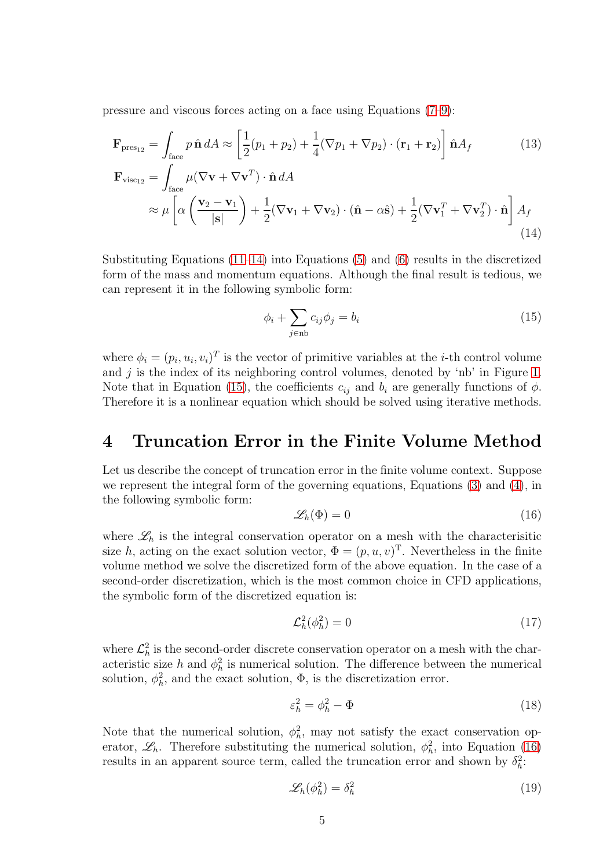pressure and viscous forces acting on a face using Equations [\(7–](#page-2-5)[9\)](#page-2-4):

$$
\mathbf{F}_{\text{pres}_{12}} = \int_{\text{face}} p \,\hat{\mathbf{n}} \, dA \approx \left[ \frac{1}{2} (p_1 + p_2) + \frac{1}{4} (\nabla p_1 + \nabla p_2) \cdot (\mathbf{r}_1 + \mathbf{r}_2) \right] \hat{\mathbf{n}} A_f \tag{13}
$$
\n
$$
\mathbf{F}_{\text{visc}_{12}} = \int \mu (\nabla \mathbf{v} + \nabla \mathbf{v}^T) \cdot \hat{\mathbf{n}} \, dA
$$

$$
\approx \mu \left[ \alpha \left( \frac{\mathbf{v}_2 - \mathbf{v}_1}{|\mathbf{s}|} \right) + \frac{1}{2} (\nabla \mathbf{v}_1 + \nabla \mathbf{v}_2) \cdot (\hat{\mathbf{n}} - \alpha \hat{\mathbf{s}}) + \frac{1}{2} (\nabla \mathbf{v}_1^T + \nabla \mathbf{v}_2^T) \cdot \hat{\mathbf{n}} \right] A_f
$$
\n(14)

Substituting Equations  $(11-14)$  into Equations  $(5)$  and  $(6)$  results in the discretized form of the mass and momentum equations. Although the final result is tedious, we can represent it in the following symbolic form:

<span id="page-4-1"></span><span id="page-4-0"></span>
$$
\phi_i + \sum_{j \in \text{nb}} c_{ij} \phi_j = b_i \tag{15}
$$

where  $\phi_i = (p_i, u_i, v_i)^T$  is the vector of primitive variables at the *i*-th control volume and  $j$  is the index of its neighboring control volumes, denoted by 'nb' in Figure [1.](#page-2-0) Note that in Equation [\(15\)](#page-4-1), the coefficients  $c_{ij}$  and  $b_i$  are generally functions of  $\phi$ . Therefore it is a nonlinear equation which should be solved using iterative methods.

#### 4 Truncation Error in the Finite Volume Method

Let us describe the concept of truncation error in the finite volume context. Suppose we represent the integral form of the governing equations, Equations [\(3\)](#page-1-2) and [\(4\)](#page-1-3), in the following symbolic form:

<span id="page-4-2"></span>
$$
\mathscr{L}_h(\Phi) = 0 \tag{16}
$$

where  $\mathscr{L}_h$  is the integral conservation operator on a mesh with the characterisitic size h, acting on the exact solution vector,  $\Phi = (p, u, v)^T$ . Nevertheless in the finite volume method we solve the discretized form of the above equation. In the case of a second-order discretization, which is the most common choice in CFD applications, the symbolic form of the discretized equation is:

$$
\mathcal{L}_h^2(\phi_h^2) = 0\tag{17}
$$

where  $\mathcal{L}_h^2$  is the second-order discrete conservation operator on a mesh with the characteristic size h and  $\phi_h^2$  is numerical solution. The difference between the numerical solution,  $\phi_h^2$ , and the exact solution,  $\Phi$ , is the discretization error.

$$
\varepsilon_h^2 = \phi_h^2 - \Phi \tag{18}
$$

Note that the numerical solution,  $\phi_h^2$ , may not satisfy the exact conservation operator,  $\mathscr{L}_h$ . Therefore substituting the numerical solution,  $\phi_h^2$ , into Equation [\(16\)](#page-4-2) results in an apparent source term, called the truncation error and shown by  $\delta_h^2$ :

<span id="page-4-3"></span>
$$
\mathcal{L}_h(\phi_h^2) = \delta_h^2 \tag{19}
$$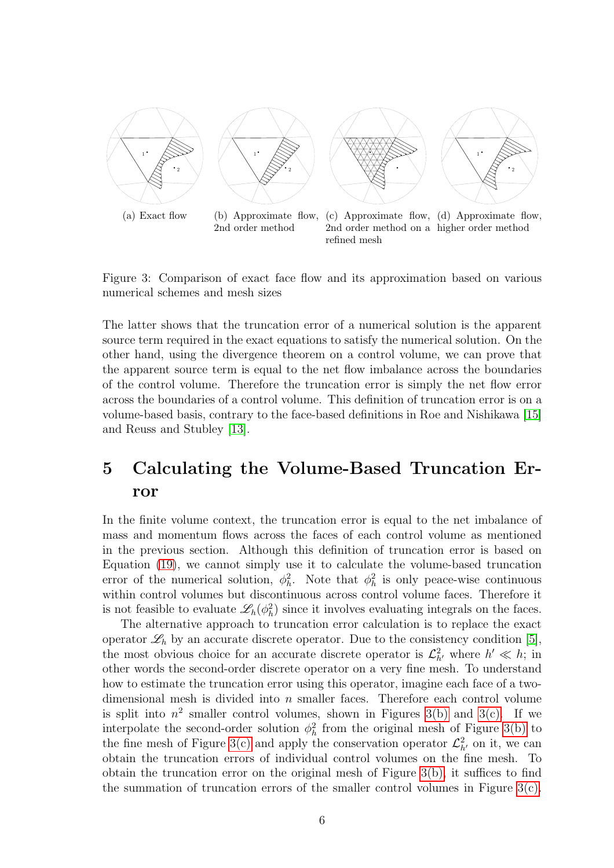

<span id="page-5-2"></span><span id="page-5-1"></span><span id="page-5-0"></span>Figure 3: Comparison of exact face flow and its approximation based on various numerical schemes and mesh sizes

The latter shows that the truncation error of a numerical solution is the apparent source term required in the exact equations to satisfy the numerical solution. On the other hand, using the divergence theorem on a control volume, we can prove that the apparent source term is equal to the net flow imbalance across the boundaries of the control volume. Therefore the truncation error is simply the net flow error across the boundaries of a control volume. This definition of truncation error is on a volume-based basis, contrary to the face-based definitions in Roe and Nishikawa [\[15\]](#page-13-4) and Reuss and Stubley [\[13\]](#page-13-3).

## 5 Calculating the Volume-Based Truncation Error

In the finite volume context, the truncation error is equal to the net imbalance of mass and momentum flows across the faces of each control volume as mentioned in the previous section. Although this definition of truncation error is based on Equation [\(19\)](#page-4-3), we cannot simply use it to calculate the volume-based truncation error of the numerical solution,  $\phi_h^2$ . Note that  $\phi_h^2$  is only peace-wise continuous within control volumes but discontinuous across control volume faces. Therefore it is not feasible to evaluate  $\mathscr{L}_h(\phi_h^2)$  since it involves evaluating integrals on the faces.

The alternative approach to truncation error calculation is to replace the exact operator  $\mathscr{L}_h$  by an accurate discrete operator. Due to the consistency condition [\[5\]](#page-11-2), the most obvious choice for an accurate discrete operator is  $\mathcal{L}_{h'}^2$  where  $h' \ll h$ ; in other words the second-order discrete operator on a very fine mesh. To understand how to estimate the truncation error using this operator, imagine each face of a twodimensional mesh is divided into  $n$  smaller faces. Therefore each control volume is split into  $n^2$  smaller control volumes, shown in Figures [3\(b\)](#page-5-0) and [3\(c\).](#page-5-1) If we interpolate the second-order solution  $\phi_h^2$  from the original mesh of Figure [3\(b\)](#page-5-0) to the fine mesh of Figure [3\(c\)](#page-5-1) and apply the conservation operator  $\mathcal{L}_{h'}^2$  on it, we can obtain the truncation errors of individual control volumes on the fine mesh. To obtain the truncation error on the original mesh of Figure  $3(b)$ , it suffices to find the summation of truncation errors of the smaller control volumes in Figure [3\(c\).](#page-5-1)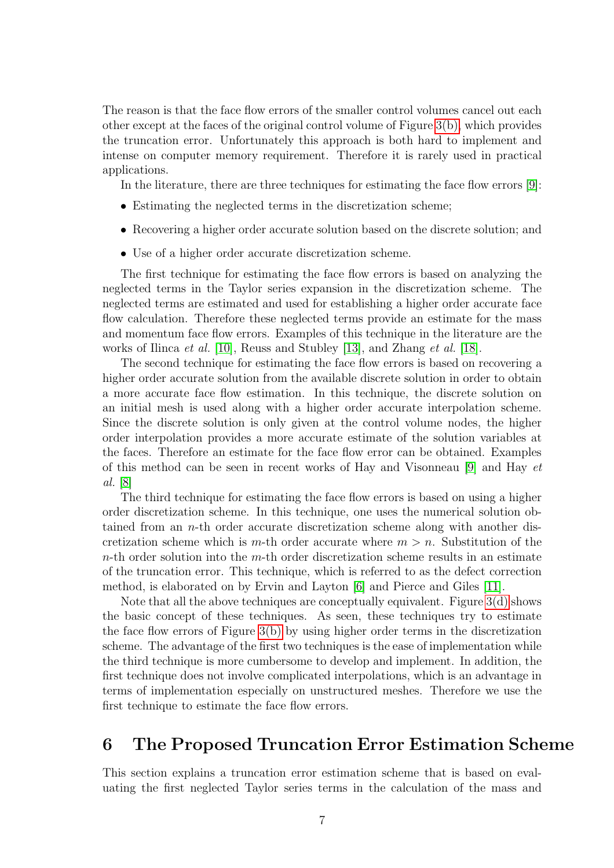The reason is that the face flow errors of the smaller control volumes cancel out each other except at the faces of the original control volume of Figure [3\(b\),](#page-5-0) which provides the truncation error. Unfortunately this approach is both hard to implement and intense on computer memory requirement. Therefore it is rarely used in practical applications.

In the literature, there are three techniques for estimating the face flow errors [\[9\]](#page-13-11):

- Estimating the neglected terms in the discretization scheme;
- Recovering a higher order accurate solution based on the discrete solution; and
- Use of a higher order accurate discretization scheme.

The first technique for estimating the face flow errors is based on analyzing the neglected terms in the Taylor series expansion in the discretization scheme. The neglected terms are estimated and used for establishing a higher order accurate face flow calculation. Therefore these neglected terms provide an estimate for the mass and momentum face flow errors. Examples of this technique in the literature are the works of Ilinca *et al.* [\[10\]](#page-13-12), Reuss and Stubley [\[13\]](#page-13-3), and Zhang *et al.* [\[18\]](#page-13-6).

The second technique for estimating the face flow errors is based on recovering a higher order accurate solution from the available discrete solution in order to obtain a more accurate face flow estimation. In this technique, the discrete solution on an initial mesh is used along with a higher order accurate interpolation scheme. Since the discrete solution is only given at the control volume nodes, the higher order interpolation provides a more accurate estimate of the solution variables at the faces. Therefore an estimate for the face flow error can be obtained. Examples of this method can be seen in recent works of Hay and Visonneau [\[9\]](#page-13-11) and Hay *et al.* [\[8\]](#page-13-13)

The third technique for estimating the face flow errors is based on using a higher order discretization scheme. In this technique, one uses the numerical solution obtained from an  $n$ -th order accurate discretization scheme along with another discretization scheme which is m-th order accurate where  $m > n$ . Substitution of the  $n$ -th order solution into the  $m$ -th order discretization scheme results in an estimate of the truncation error. This technique, which is referred to as the defect correction method, is elaborated on by Ervin and Layton [\[6\]](#page-13-0) and Pierce and Giles [\[11\]](#page-13-1).

Note that all the above techniques are conceptually equivalent. Figure [3\(d\)](#page-5-2) shows the basic concept of these techniques. As seen, these techniques try to estimate the face flow errors of Figure [3\(b\)](#page-5-0) by using higher order terms in the discretization scheme. The advantage of the first two techniques is the ease of implementation while the third technique is more cumbersome to develop and implement. In addition, the first technique does not involve complicated interpolations, which is an advantage in terms of implementation especially on unstructured meshes. Therefore we use the first technique to estimate the face flow errors.

#### 6 The Proposed Truncation Error Estimation Scheme

This section explains a truncation error estimation scheme that is based on evaluating the first neglected Taylor series terms in the calculation of the mass and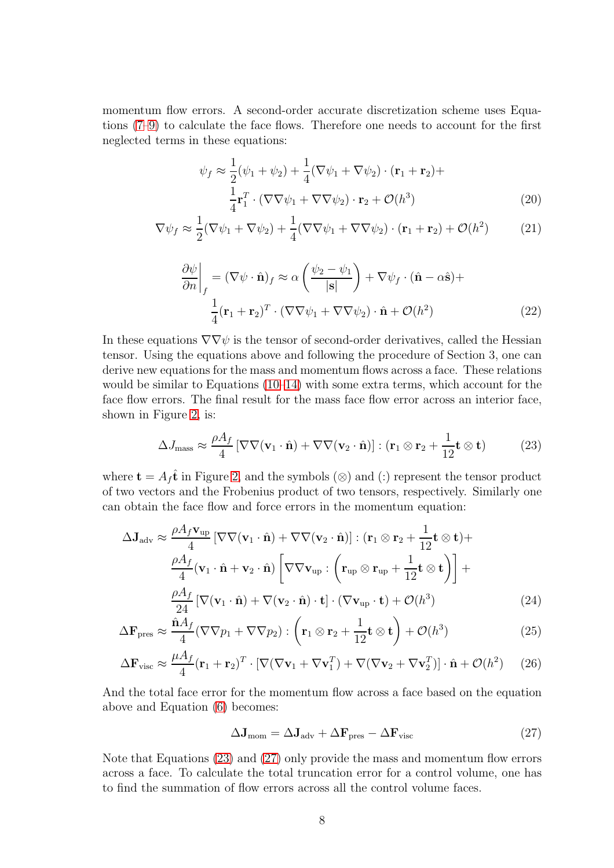momentum flow errors. A second-order accurate discretization scheme uses Equations [\(7](#page-2-5)[–9\)](#page-2-4) to calculate the face flows. Therefore one needs to account for the first neglected terms in these equations:

$$
\psi_f \approx \frac{1}{2}(\psi_1 + \psi_2) + \frac{1}{4}(\nabla\psi_1 + \nabla\psi_2) \cdot (\mathbf{r}_1 + \mathbf{r}_2) + \frac{1}{4}\mathbf{r}_1^T \cdot (\nabla\nabla\psi_1 + \nabla\nabla\psi_2) \cdot \mathbf{r}_2 + \mathcal{O}(h^3)
$$
\n(20)

$$
\nabla \psi_f \approx \frac{1}{2} (\nabla \psi_1 + \nabla \psi_2) + \frac{1}{4} (\nabla \nabla \psi_1 + \nabla \nabla \psi_2) \cdot (\mathbf{r}_1 + \mathbf{r}_2) + \mathcal{O}(h^2)
$$
(21)

$$
\left. \frac{\partial \psi}{\partial n} \right|_{f} = (\nabla \psi \cdot \hat{\mathbf{n}})_{f} \approx \alpha \left( \frac{\psi_{2} - \psi_{1}}{|\mathbf{s}|} \right) + \nabla \psi_{f} \cdot (\hat{\mathbf{n}} - \alpha \hat{\mathbf{s}}) + \n\frac{1}{4} (\mathbf{r}_{1} + \mathbf{r}_{2})^{T} \cdot (\nabla \nabla \psi_{1} + \nabla \nabla \psi_{2}) \cdot \hat{\mathbf{n}} + \mathcal{O}(h^{2})
$$
\n(22)

In these equations  $\nabla \nabla \psi$  is the tensor of second-order derivatives, called the Hessian tensor. Using the equations above and following the procedure of Section 3, one can derive new equations for the mass and momentum flows across a face. These relations would be similar to Equations [\(10](#page-3-2)[–14\)](#page-4-0) with some extra terms, which account for the face flow errors. The final result for the mass face flow error across an interior face, shown in Figure [2,](#page-3-0) is:

<span id="page-7-0"></span>
$$
\Delta J_{\text{mass}} \approx \frac{\rho A_f}{4} \left[ \nabla \nabla (\mathbf{v}_1 \cdot \hat{\mathbf{n}}) + \nabla \nabla (\mathbf{v}_2 \cdot \hat{\mathbf{n}}) \right] : (\mathbf{r}_1 \otimes \mathbf{r}_2 + \frac{1}{12} \mathbf{t} \otimes \mathbf{t}) \tag{23}
$$

where  $\mathbf{t} = A_f \hat{\mathbf{t}}$  in Figure [2,](#page-3-0) and the symbols ( $\otimes$ ) and (:) represent the tensor product of two vectors and the Frobenius product of two tensors, respectively. Similarly one can obtain the face flow and force errors in the momentum equation:

$$
\Delta \mathbf{J}_{adv} \approx \frac{\rho A_f \mathbf{v}_{up}}{4} \left[ \nabla \nabla (\mathbf{v}_1 \cdot \hat{\mathbf{n}}) + \nabla \nabla (\mathbf{v}_2 \cdot \hat{\mathbf{n}}) \right] : (\mathbf{r}_1 \otimes \mathbf{r}_2 + \frac{1}{12} \mathbf{t} \otimes \mathbf{t}) + \n\frac{\rho A_f}{4} (\mathbf{v}_1 \cdot \hat{\mathbf{n}} + \mathbf{v}_2 \cdot \hat{\mathbf{n}}) \left[ \nabla \nabla \mathbf{v}_{up} : \left( \mathbf{r}_{up} \otimes \mathbf{r}_{up} + \frac{1}{12} \mathbf{t} \otimes \mathbf{t} \right) \right] + \n\frac{\rho A_f}{24} \left[ \nabla (\mathbf{v}_1 \cdot \hat{\mathbf{n}}) + \nabla (\mathbf{v}_2 \cdot \hat{\mathbf{n}}) \cdot \mathbf{t} \right] \cdot (\nabla \mathbf{v}_{up} \cdot \mathbf{t}) + \mathcal{O}(h^3)
$$
\n(24)

$$
\Delta \mathbf{F}_{\text{pres}} \approx \frac{\hat{\mathbf{n}} A_f}{4} (\nabla \nabla p_1 + \nabla \nabla p_2) : \left( \mathbf{r}_1 \otimes \mathbf{r}_2 + \frac{1}{12} \mathbf{t} \otimes \mathbf{t} \right) + \mathcal{O}(h^3)
$$
(25)

$$
\Delta \mathbf{F}_{\text{visc}} \approx \frac{\mu A_f}{4} (\mathbf{r}_1 + \mathbf{r}_2)^T \cdot [\nabla (\nabla \mathbf{v}_1 + \nabla \mathbf{v}_1^T) + \nabla (\nabla \mathbf{v}_2 + \nabla \mathbf{v}_2^T)] \cdot \hat{\mathbf{n}} + \mathcal{O}(h^2) \tag{26}
$$

And the total face error for the momentum flow across a face based on the equation above and Equation [\(6\)](#page-2-2) becomes:

<span id="page-7-2"></span><span id="page-7-1"></span>
$$
\Delta J_{\text{mom}} = \Delta J_{\text{adv}} + \Delta F_{\text{pres}} - \Delta F_{\text{visc}} \tag{27}
$$

Note that Equations [\(23\)](#page-7-0) and [\(27\)](#page-7-1) only provide the mass and momentum flow errors across a face. To calculate the total truncation error for a control volume, one has to find the summation of flow errors across all the control volume faces.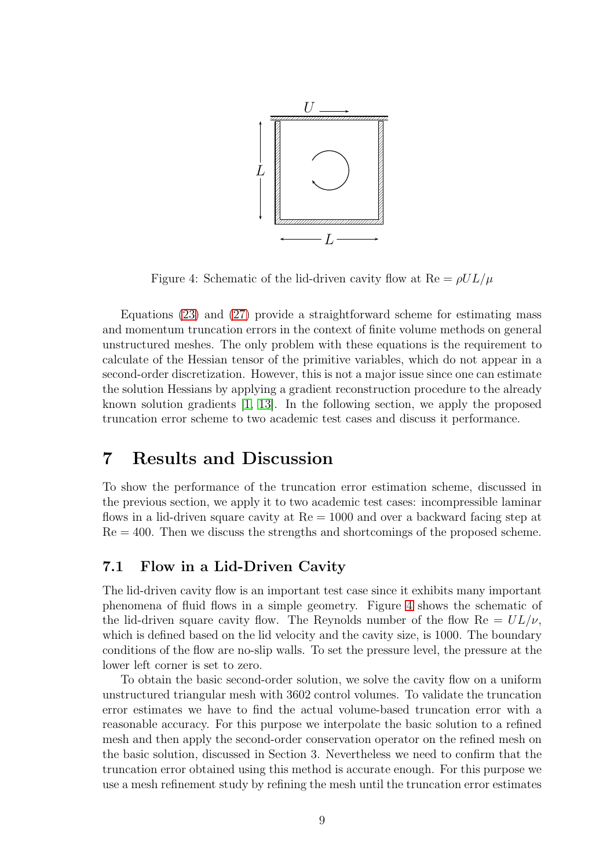

<span id="page-8-0"></span>Figure 4: Schematic of the lid-driven cavity flow at  $\text{Re} = \rho U L / \mu$ 

Equations [\(23\)](#page-7-0) and [\(27\)](#page-7-1) provide a straightforward scheme for estimating mass and momentum truncation errors in the context of finite volume methods on general unstructured meshes. The only problem with these equations is the requirement to calculate of the Hessian tensor of the primitive variables, which do not appear in a second-order discretization. However, this is not a major issue since one can estimate the solution Hessians by applying a gradient reconstruction procedure to the already known solution gradients [\[1,](#page-11-3) [13\]](#page-13-3). In the following section, we apply the proposed truncation error scheme to two academic test cases and discuss it performance.

#### 7 Results and Discussion

To show the performance of the truncation error estimation scheme, discussed in the previous section, we apply it to two academic test cases: incompressible laminar flows in a lid-driven square cavity at Re = 1000 and over a backward facing step at  $Re = 400$ . Then we discuss the strengths and shortcomings of the proposed scheme.

#### 7.1 Flow in a Lid-Driven Cavity

The lid-driven cavity flow is an important test case since it exhibits many important phenomena of fluid flows in a simple geometry. Figure [4](#page-8-0) shows the schematic of the lid-driven square cavity flow. The Reynolds number of the flow  $Re = UL/\nu$ , which is defined based on the lid velocity and the cavity size, is 1000. The boundary conditions of the flow are no-slip walls. To set the pressure level, the pressure at the lower left corner is set to zero.

To obtain the basic second-order solution, we solve the cavity flow on a uniform unstructured triangular mesh with 3602 control volumes. To validate the truncation error estimates we have to find the actual volume-based truncation error with a reasonable accuracy. For this purpose we interpolate the basic solution to a refined mesh and then apply the second-order conservation operator on the refined mesh on the basic solution, discussed in Section 3. Nevertheless we need to confirm that the truncation error obtained using this method is accurate enough. For this purpose we use a mesh refinement study by refining the mesh until the truncation error estimates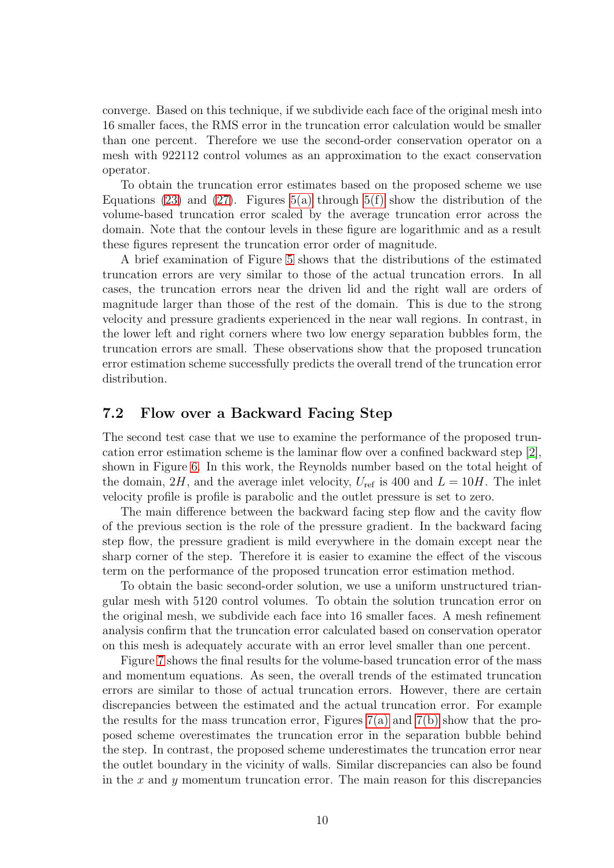converge. Based on this technique, if we subdivide each face of the original mesh into 16 smaller faces, the RMS error in the truncation error calculation would be smaller than one percent. Therefore we use the second-order conservation operator on a mesh with 922112 control volumes as an approximation to the exact conservation operator.

To obtain the truncation error estimates based on the proposed scheme we use Equations [\(23\)](#page-7-0) and [\(27\)](#page-7-1). Figures  $5(a)$  through  $5(f)$  show the distribution of the volume-based truncation error scaled by the average truncation error across the domain. Note that the contour levels in these figure are logarithmic and as a result these figures represent the truncation error order of magnitude.

A brief examination of Figure [5](#page-10-2) shows that the distributions of the estimated truncation errors are very similar to those of the actual truncation errors. In all cases, the truncation errors near the driven lid and the right wall are orders of magnitude larger than those of the rest of the domain. This is due to the strong velocity and pressure gradients experienced in the near wall regions. In contrast, in the lower left and right corners where two low energy separation bubbles form, the truncation errors are small. These observations show that the proposed truncation error estimation scheme successfully predicts the overall trend of the truncation error distribution.

#### 7.2 Flow over a Backward Facing Step

The second test case that we use to examine the performance of the proposed truncation error estimation scheme is the laminar flow over a confined backward step [\[2\]](#page-11-4), shown in Figure [6.](#page-10-3) In this work, the Reynolds number based on the total height of the domain, 2H, and the average inlet velocity,  $U_{\text{ref}}$  is 400 and  $L = 10H$ . The inlet velocity profile is profile is parabolic and the outlet pressure is set to zero.

The main difference between the backward facing step flow and the cavity flow of the previous section is the role of the pressure gradient. In the backward facing step flow, the pressure gradient is mild everywhere in the domain except near the sharp corner of the step. Therefore it is easier to examine the effect of the viscous term on the performance of the proposed truncation error estimation method.

To obtain the basic second-order solution, we use a uniform unstructured triangular mesh with 5120 control volumes. To obtain the solution truncation error on the original mesh, we subdivide each face into 16 smaller faces. A mesh refinement analysis confirm that the truncation error calculated based on conservation operator on this mesh is adequately accurate with an error level smaller than one percent.

Figure [7](#page-12-0) shows the final results for the volume-based truncation error of the mass and momentum equations. As seen, the overall trends of the estimated truncation errors are similar to those of actual truncation errors. However, there are certain discrepancies between the estimated and the actual truncation error. For example the results for the mass truncation error, Figures  $7(a)$  and  $7(b)$  show that the proposed scheme overestimates the truncation error in the separation bubble behind the step. In contrast, the proposed scheme underestimates the truncation error near the outlet boundary in the vicinity of walls. Similar discrepancies can also be found in the  $x$  and  $y$  momentum truncation error. The main reason for this discrepancies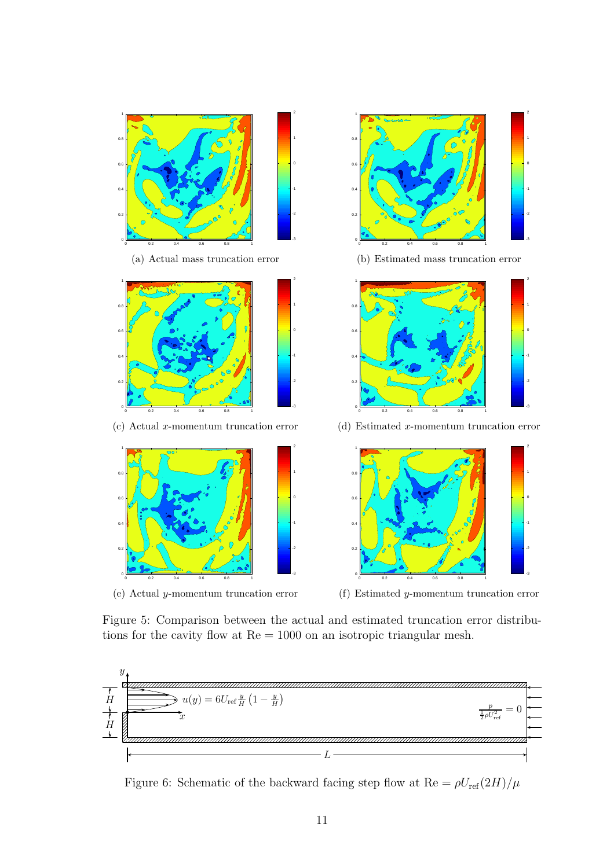<span id="page-10-0"></span>

<span id="page-10-2"></span><span id="page-10-1"></span>Figure 5: Comparison between the actual and estimated truncation error distributions for the cavity flow at Re = 1000 on an isotropic triangular mesh.



<span id="page-10-3"></span>Figure 6: Schematic of the backward facing step flow at  $\text{Re} = \rho U_{\text{ref}}(2H)/\mu$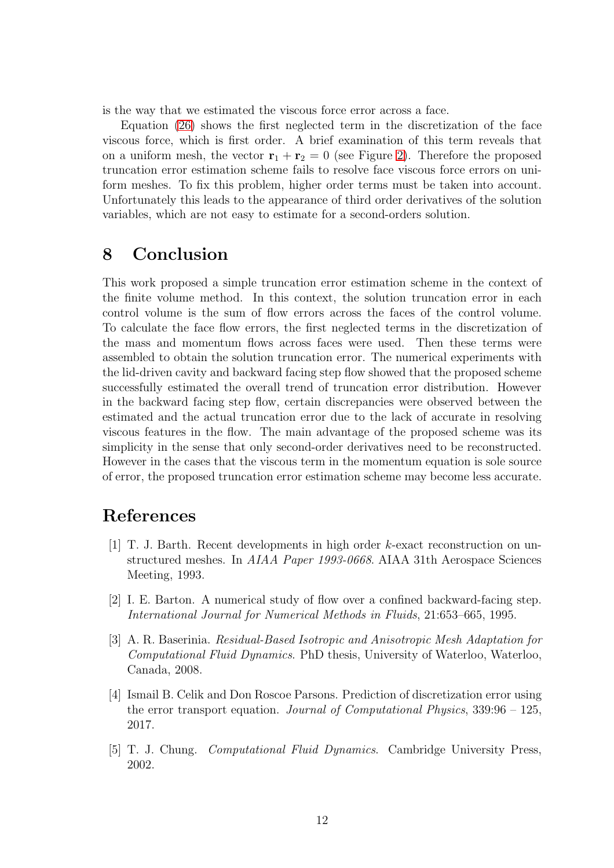is the way that we estimated the viscous force error across a face.

Equation [\(26\)](#page-7-2) shows the first neglected term in the discretization of the face viscous force, which is first order. A brief examination of this term reveals that on a uniform mesh, the vector  $\mathbf{r}_1 + \mathbf{r}_2 = 0$  (see Figure [2\)](#page-3-0). Therefore the proposed truncation error estimation scheme fails to resolve face viscous force errors on uniform meshes. To fix this problem, higher order terms must be taken into account. Unfortunately this leads to the appearance of third order derivatives of the solution variables, which are not easy to estimate for a second-orders solution.

### 8 Conclusion

This work proposed a simple truncation error estimation scheme in the context of the finite volume method. In this context, the solution truncation error in each control volume is the sum of flow errors across the faces of the control volume. To calculate the face flow errors, the first neglected terms in the discretization of the mass and momentum flows across faces were used. Then these terms were assembled to obtain the solution truncation error. The numerical experiments with the lid-driven cavity and backward facing step flow showed that the proposed scheme successfully estimated the overall trend of truncation error distribution. However in the backward facing step flow, certain discrepancies were observed between the estimated and the actual truncation error due to the lack of accurate in resolving viscous features in the flow. The main advantage of the proposed scheme was its simplicity in the sense that only second-order derivatives need to be reconstructed. However in the cases that the viscous term in the momentum equation is sole source of error, the proposed truncation error estimation scheme may become less accurate.

### <span id="page-11-3"></span>References

- [1] T. J. Barth. Recent developments in high order k-exact reconstruction on unstructured meshes. In *AIAA Paper 1993-0668*. AIAA 31th Aerospace Sciences Meeting, 1993.
- <span id="page-11-4"></span>[2] I. E. Barton. A numerical study of flow over a confined backward-facing step. *International Journal for Numerical Methods in Fluids*, 21:653–665, 1995.
- <span id="page-11-1"></span>[3] A. R. Baserinia. *Residual-Based Isotropic and Anisotropic Mesh Adaptation for Computational Fluid Dynamics*. PhD thesis, University of Waterloo, Waterloo, Canada, 2008.
- <span id="page-11-0"></span>[4] Ismail B. Celik and Don Roscoe Parsons. Prediction of discretization error using the error transport equation. *Journal of Computational Physics*, 339:96 – 125, 2017.
- <span id="page-11-2"></span>[5] T. J. Chung. *Computational Fluid Dynamics*. Cambridge University Press, 2002.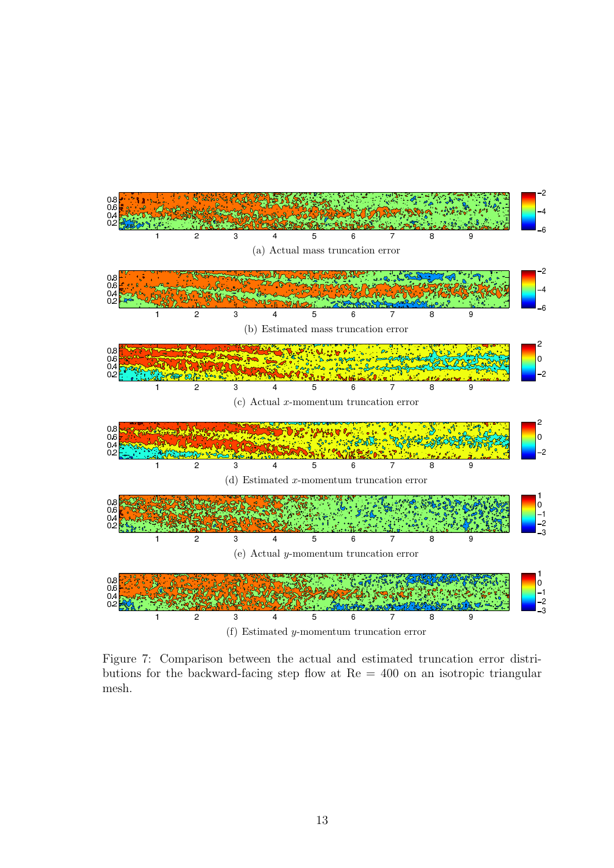<span id="page-12-2"></span><span id="page-12-1"></span>

<span id="page-12-0"></span>Figure 7: Comparison between the actual and estimated truncation error distributions for the backward-facing step flow at Re = 400 on an isotropic triangular mesh.